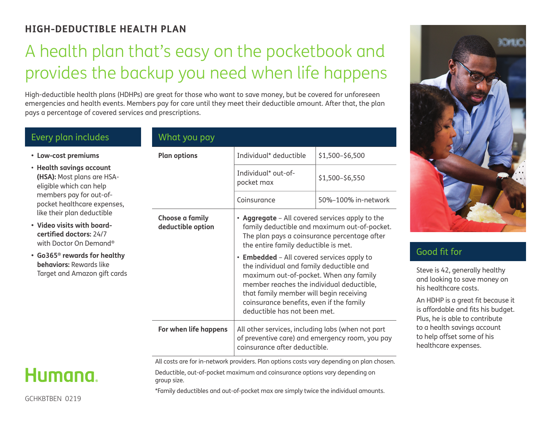### **HIGH-DEDUCTIBLE HEALTH PLAN**

# A health plan that's easy on the pocketbook and provides the backup you need when life happens

High-deductible health plans (HDHPs) are great for those who want to save money, but be covered for unforeseen emergencies and health events. Members pay for care until they meet their deductible amount. After that, the plan pays a percentage of covered services and prescriptions.

| Every plan includes                                                                                                                                                                                                                     | What you pay                         |                                                                                                                                                                                                                                                                                   |                     |
|-----------------------------------------------------------------------------------------------------------------------------------------------------------------------------------------------------------------------------------------|--------------------------------------|-----------------------------------------------------------------------------------------------------------------------------------------------------------------------------------------------------------------------------------------------------------------------------------|---------------------|
| • Low-cost premiums                                                                                                                                                                                                                     | <b>Plan options</b>                  | Individual* deductible                                                                                                                                                                                                                                                            | \$1,500-\$6,500     |
| • Health savings account<br>(HSA): Most plans are HSA-<br>eligible which can help<br>members pay for out-of-<br>pocket healthcare expenses,                                                                                             |                                      | Individual* out-of-<br>pocket max                                                                                                                                                                                                                                                 | \$1,500-\$6,550     |
|                                                                                                                                                                                                                                         |                                      | Coinsurance                                                                                                                                                                                                                                                                       | 50%-100% in-network |
| like their plan deductible<br>• Video visits with board-<br>certified doctors: 24/7<br>with Doctor On Demand <sup>®</sup><br>• Go365 <sup>®</sup> rewards for healthy<br><b>behaviors: Rewards like</b><br>Target and Amazon gift cards | Choose a family<br>deductible option | • Aggregate - All covered services apply to the<br>family deductible and maximum out-of-pocket.<br>The plan pays a coinsurance percentage after<br>the entire family deductible is met.<br>• Embedded - All covered services apply to<br>the individual and family deductible and |                     |
|                                                                                                                                                                                                                                         |                                      | maximum out-of-pocket. When any family<br>member reaches the individual deductible,<br>that family member will begin receiving<br>coinsurance benefits, even if the family<br>deductible has not been met.                                                                        |                     |
|                                                                                                                                                                                                                                         | For when life happens                | All other services, including labs (when not part<br>of preventive care) and emergency room, you pay<br>coinsurance after deductible.                                                                                                                                             |                     |



#### Good fit for

Steve is 42, generally healthy and looking to save money on his healthcare costs.

An HDHP is a great fit because it is affordable and fits his budget. Plus, he is able to contribute to a health savings account to help offset some of his healthcare expenses.

All costs are for in-network providers. Plan options costs vary depending on plan chosen. Deductible, out-of-pocket maximum and coinsurance options vary depending on group size.

\*Family deductibles and out-of-pocket max are simply twice the individual amounts.

## Humana.